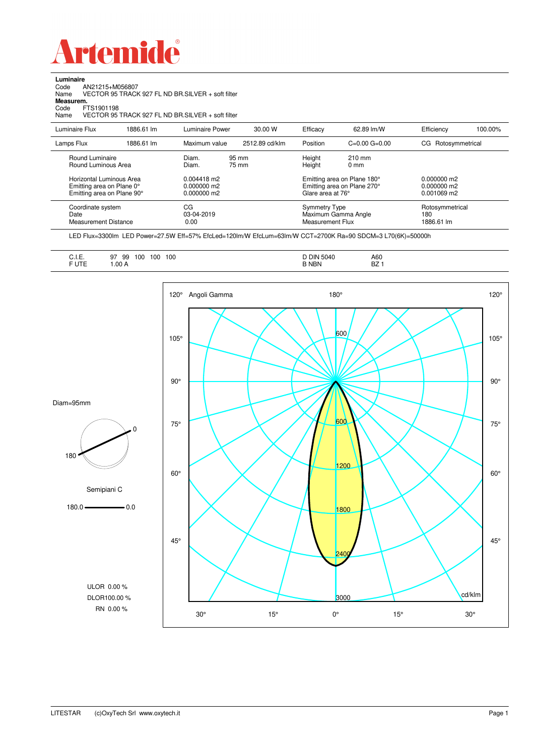

Code AN21215+M056807

**Luminaire**

| Name<br>Measurem.<br>FTS1901198<br>Code<br>Name                                     |            | VECTOR 95 TRACK 927 FL ND BR SILVER + soft filter<br>VECTOR 95 TRACK 927 FL ND BR.SILVER + soft filter |                |                                          |                                                            |                                             |         |
|-------------------------------------------------------------------------------------|------------|--------------------------------------------------------------------------------------------------------|----------------|------------------------------------------|------------------------------------------------------------|---------------------------------------------|---------|
| Luminaire Flux                                                                      | 1886.61 lm | Luminaire Power                                                                                        | 30.00 W        | Efficacy                                 | 62.89 lm/W                                                 | Efficiency                                  | 100.00% |
| Lamps Flux                                                                          | 1886.61 lm | Maximum value                                                                                          | 2512.89 cd/klm | Position                                 | $C=0.00$ $G=0.00$                                          | CG Rotosymmetrical                          |         |
| Round Luminaire<br>Round Luminous Area                                              |            | Diam.<br>Diam.                                                                                         | 95 mm<br>75 mm | Height<br>Height                         | $210 \text{ mm}$<br>$0 \text{ mm}$                         |                                             |         |
| Horizontal Luminous Area<br>Emitting area on Plane 0°<br>Emitting area on Plane 90° |            | 0.004418 m2<br>$0.000000$ m2<br>0.000000 m2                                                            |                | Glare area at 76°                        | Emitting area on Plane 180°<br>Emitting area on Plane 270° | $0.000000$ m2<br>0.000000 m2<br>0.001069 m2 |         |
| Coordinate system<br>Date<br>Measurement Distance                                   |            | CG<br>03-04-2019<br>0.00                                                                               |                | <b>Symmetry Type</b><br>Measurement Flux | Maximum Gamma Angle                                        | Rotosymmetrical<br>180<br>1886.61 lm        |         |

LED Flux=3300lm LED Power=27.5W Eff=57% EfcLed=120lm/W EfcLum=63lm/W CCT=2700K Ra=90 SDCM=3 L70(6K)=50000h

| A60<br>BZ |  |
|-----------|--|
|-----------|--|